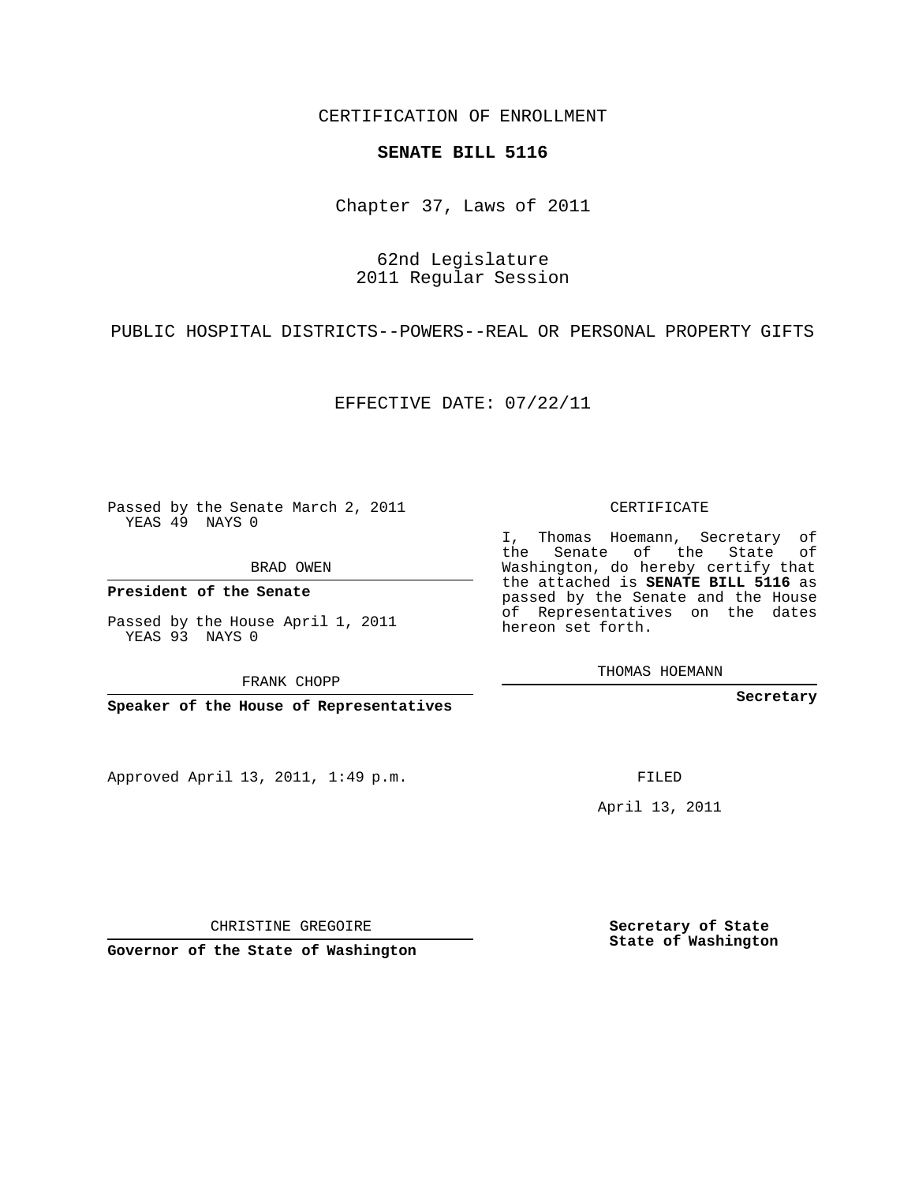CERTIFICATION OF ENROLLMENT

## **SENATE BILL 5116**

Chapter 37, Laws of 2011

62nd Legislature 2011 Regular Session

PUBLIC HOSPITAL DISTRICTS--POWERS--REAL OR PERSONAL PROPERTY GIFTS

EFFECTIVE DATE: 07/22/11

Passed by the Senate March 2, 2011 YEAS 49 NAYS 0

BRAD OWEN

**President of the Senate**

Passed by the House April 1, 2011 YEAS 93 NAYS 0

FRANK CHOPP

**Speaker of the House of Representatives**

Approved April 13, 2011, 1:49 p.m.

CERTIFICATE

I, Thomas Hoemann, Secretary of the Senate of the State of Washington, do hereby certify that the attached is **SENATE BILL 5116** as passed by the Senate and the House of Representatives on the dates hereon set forth.

THOMAS HOEMANN

**Secretary**

FILED

April 13, 2011

CHRISTINE GREGOIRE

**Governor of the State of Washington**

**Secretary of State State of Washington**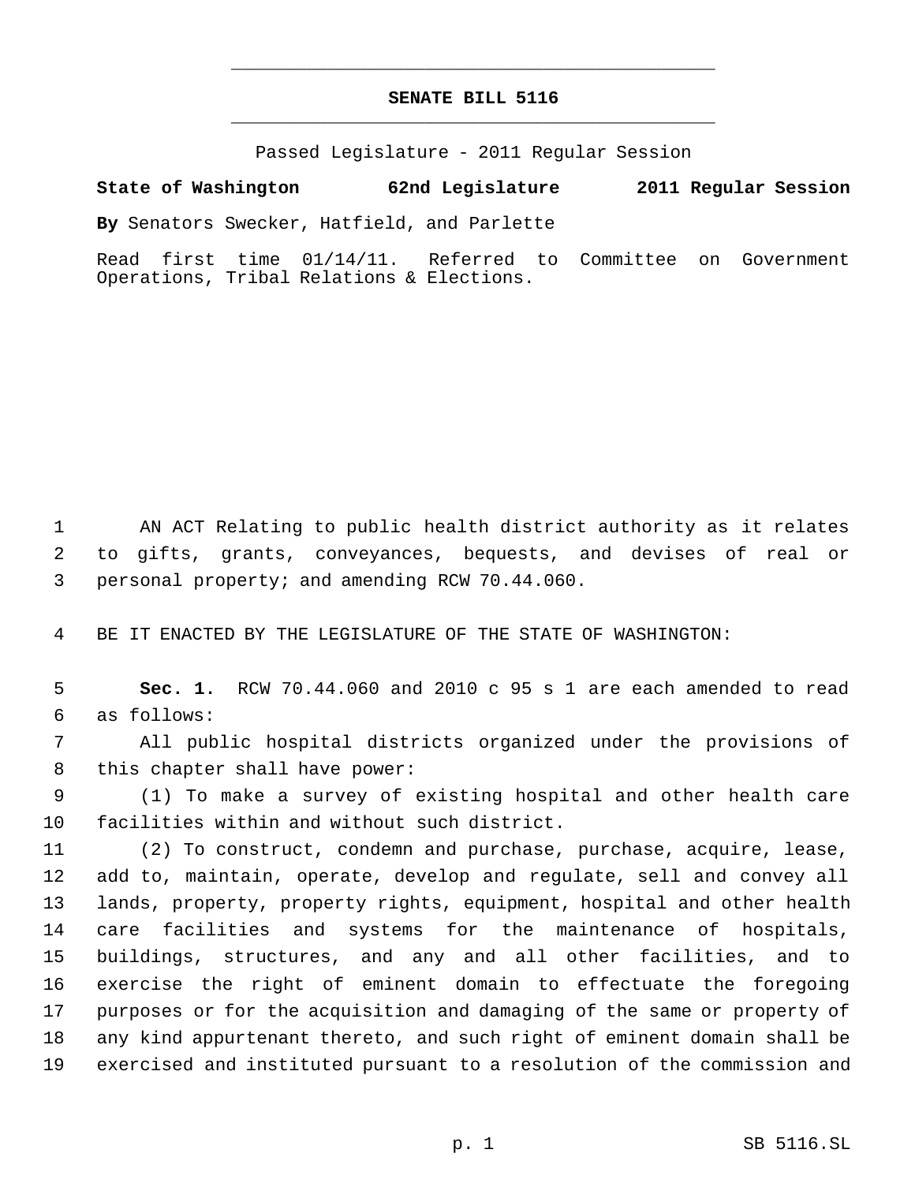## **SENATE BILL 5116** \_\_\_\_\_\_\_\_\_\_\_\_\_\_\_\_\_\_\_\_\_\_\_\_\_\_\_\_\_\_\_\_\_\_\_\_\_\_\_\_\_\_\_\_\_

\_\_\_\_\_\_\_\_\_\_\_\_\_\_\_\_\_\_\_\_\_\_\_\_\_\_\_\_\_\_\_\_\_\_\_\_\_\_\_\_\_\_\_\_\_

Passed Legislature - 2011 Regular Session

## **State of Washington 62nd Legislature 2011 Regular Session**

**By** Senators Swecker, Hatfield, and Parlette

Read first time 01/14/11. Referred to Committee on Government Operations, Tribal Relations & Elections.

 AN ACT Relating to public health district authority as it relates to gifts, grants, conveyances, bequests, and devises of real or personal property; and amending RCW 70.44.060.

BE IT ENACTED BY THE LEGISLATURE OF THE STATE OF WASHINGTON:

 **Sec. 1.** RCW 70.44.060 and 2010 c 95 s 1 are each amended to read as follows:

 All public hospital districts organized under the provisions of this chapter shall have power:

 (1) To make a survey of existing hospital and other health care facilities within and without such district.

 (2) To construct, condemn and purchase, purchase, acquire, lease, add to, maintain, operate, develop and regulate, sell and convey all lands, property, property rights, equipment, hospital and other health care facilities and systems for the maintenance of hospitals, buildings, structures, and any and all other facilities, and to exercise the right of eminent domain to effectuate the foregoing purposes or for the acquisition and damaging of the same or property of any kind appurtenant thereto, and such right of eminent domain shall be exercised and instituted pursuant to a resolution of the commission and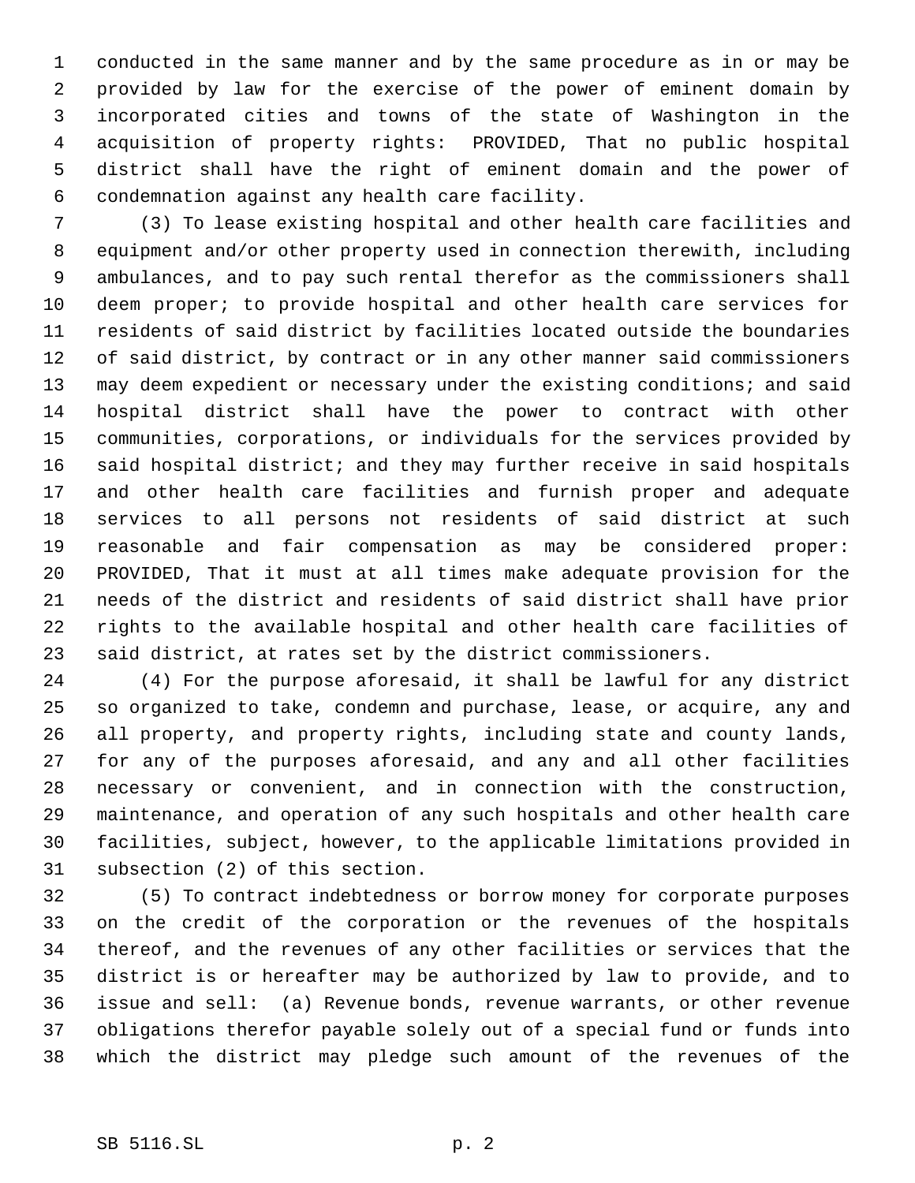conducted in the same manner and by the same procedure as in or may be provided by law for the exercise of the power of eminent domain by incorporated cities and towns of the state of Washington in the acquisition of property rights: PROVIDED, That no public hospital district shall have the right of eminent domain and the power of condemnation against any health care facility.

 (3) To lease existing hospital and other health care facilities and equipment and/or other property used in connection therewith, including ambulances, and to pay such rental therefor as the commissioners shall deem proper; to provide hospital and other health care services for residents of said district by facilities located outside the boundaries of said district, by contract or in any other manner said commissioners 13 may deem expedient or necessary under the existing conditions; and said hospital district shall have the power to contract with other communities, corporations, or individuals for the services provided by said hospital district; and they may further receive in said hospitals and other health care facilities and furnish proper and adequate services to all persons not residents of said district at such reasonable and fair compensation as may be considered proper: PROVIDED, That it must at all times make adequate provision for the needs of the district and residents of said district shall have prior rights to the available hospital and other health care facilities of said district, at rates set by the district commissioners.

 (4) For the purpose aforesaid, it shall be lawful for any district so organized to take, condemn and purchase, lease, or acquire, any and all property, and property rights, including state and county lands, for any of the purposes aforesaid, and any and all other facilities necessary or convenient, and in connection with the construction, maintenance, and operation of any such hospitals and other health care facilities, subject, however, to the applicable limitations provided in subsection (2) of this section.

 (5) To contract indebtedness or borrow money for corporate purposes on the credit of the corporation or the revenues of the hospitals thereof, and the revenues of any other facilities or services that the district is or hereafter may be authorized by law to provide, and to issue and sell: (a) Revenue bonds, revenue warrants, or other revenue obligations therefor payable solely out of a special fund or funds into which the district may pledge such amount of the revenues of the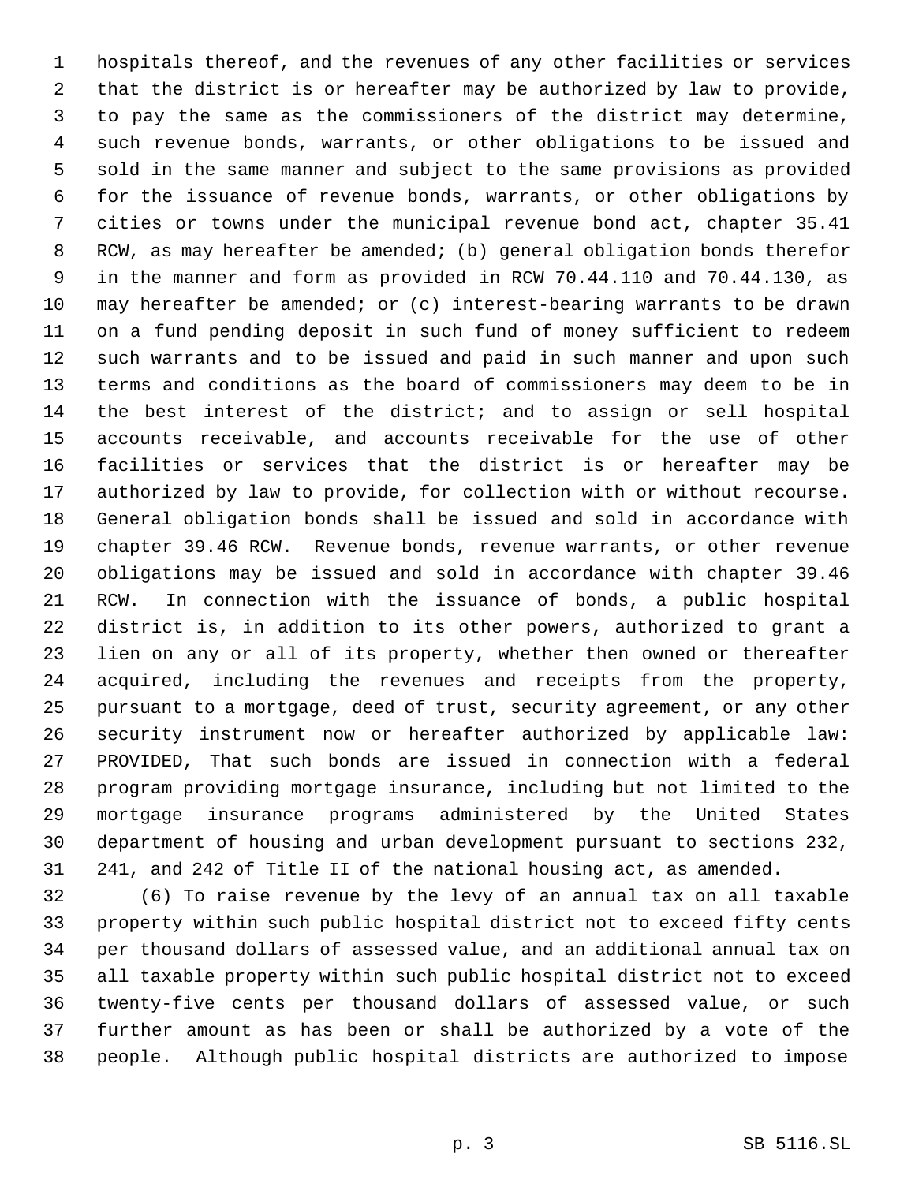hospitals thereof, and the revenues of any other facilities or services that the district is or hereafter may be authorized by law to provide, to pay the same as the commissioners of the district may determine, such revenue bonds, warrants, or other obligations to be issued and sold in the same manner and subject to the same provisions as provided for the issuance of revenue bonds, warrants, or other obligations by cities or towns under the municipal revenue bond act, chapter 35.41 RCW, as may hereafter be amended; (b) general obligation bonds therefor in the manner and form as provided in RCW 70.44.110 and 70.44.130, as may hereafter be amended; or (c) interest-bearing warrants to be drawn on a fund pending deposit in such fund of money sufficient to redeem such warrants and to be issued and paid in such manner and upon such terms and conditions as the board of commissioners may deem to be in the best interest of the district; and to assign or sell hospital accounts receivable, and accounts receivable for the use of other facilities or services that the district is or hereafter may be authorized by law to provide, for collection with or without recourse. General obligation bonds shall be issued and sold in accordance with chapter 39.46 RCW. Revenue bonds, revenue warrants, or other revenue obligations may be issued and sold in accordance with chapter 39.46 RCW. In connection with the issuance of bonds, a public hospital district is, in addition to its other powers, authorized to grant a lien on any or all of its property, whether then owned or thereafter acquired, including the revenues and receipts from the property, pursuant to a mortgage, deed of trust, security agreement, or any other security instrument now or hereafter authorized by applicable law: PROVIDED, That such bonds are issued in connection with a federal program providing mortgage insurance, including but not limited to the mortgage insurance programs administered by the United States department of housing and urban development pursuant to sections 232, 241, and 242 of Title II of the national housing act, as amended.

 (6) To raise revenue by the levy of an annual tax on all taxable property within such public hospital district not to exceed fifty cents per thousand dollars of assessed value, and an additional annual tax on all taxable property within such public hospital district not to exceed twenty-five cents per thousand dollars of assessed value, or such further amount as has been or shall be authorized by a vote of the people. Although public hospital districts are authorized to impose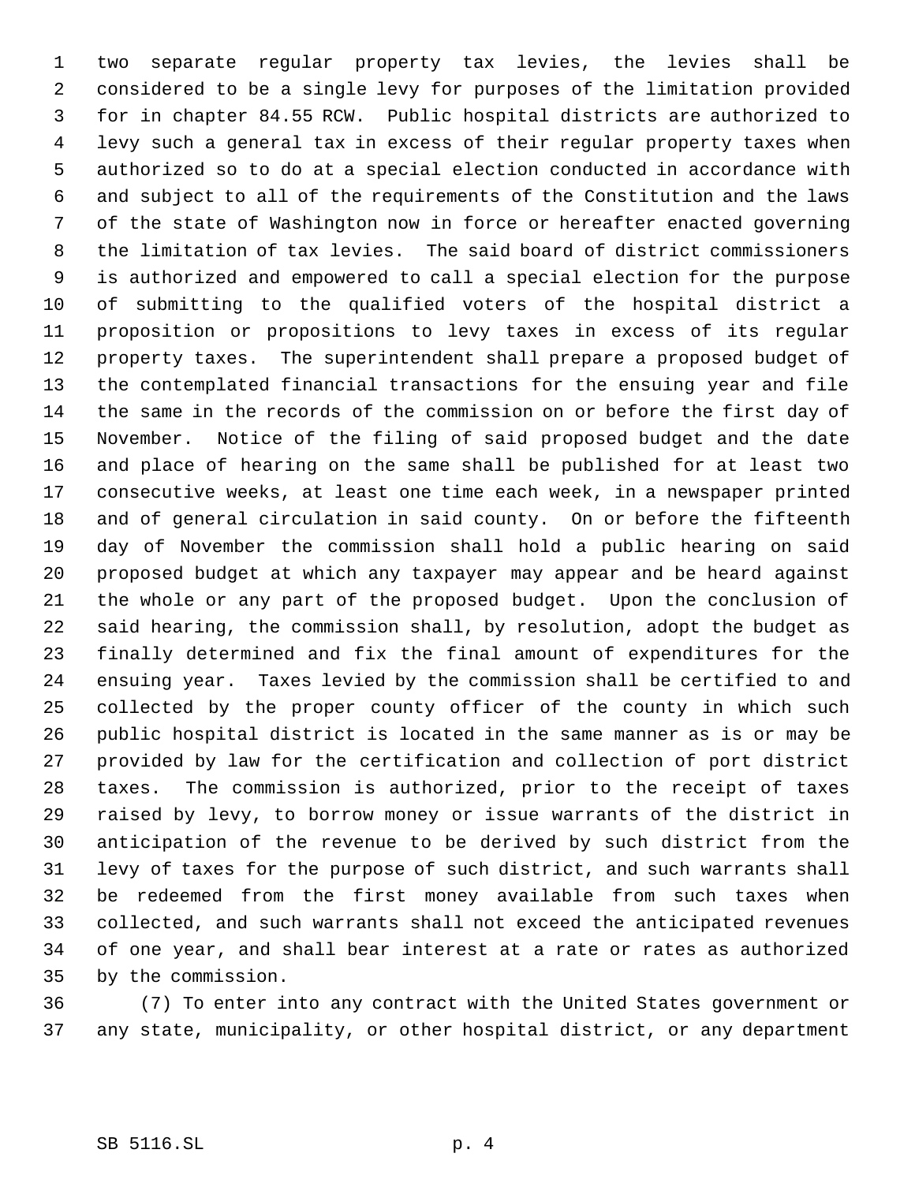two separate regular property tax levies, the levies shall be considered to be a single levy for purposes of the limitation provided for in chapter 84.55 RCW. Public hospital districts are authorized to levy such a general tax in excess of their regular property taxes when authorized so to do at a special election conducted in accordance with and subject to all of the requirements of the Constitution and the laws of the state of Washington now in force or hereafter enacted governing the limitation of tax levies. The said board of district commissioners is authorized and empowered to call a special election for the purpose of submitting to the qualified voters of the hospital district a proposition or propositions to levy taxes in excess of its regular property taxes. The superintendent shall prepare a proposed budget of the contemplated financial transactions for the ensuing year and file the same in the records of the commission on or before the first day of November. Notice of the filing of said proposed budget and the date and place of hearing on the same shall be published for at least two consecutive weeks, at least one time each week, in a newspaper printed and of general circulation in said county. On or before the fifteenth day of November the commission shall hold a public hearing on said proposed budget at which any taxpayer may appear and be heard against the whole or any part of the proposed budget. Upon the conclusion of said hearing, the commission shall, by resolution, adopt the budget as finally determined and fix the final amount of expenditures for the ensuing year. Taxes levied by the commission shall be certified to and collected by the proper county officer of the county in which such public hospital district is located in the same manner as is or may be provided by law for the certification and collection of port district taxes. The commission is authorized, prior to the receipt of taxes raised by levy, to borrow money or issue warrants of the district in anticipation of the revenue to be derived by such district from the levy of taxes for the purpose of such district, and such warrants shall be redeemed from the first money available from such taxes when collected, and such warrants shall not exceed the anticipated revenues of one year, and shall bear interest at a rate or rates as authorized by the commission.

 (7) To enter into any contract with the United States government or any state, municipality, or other hospital district, or any department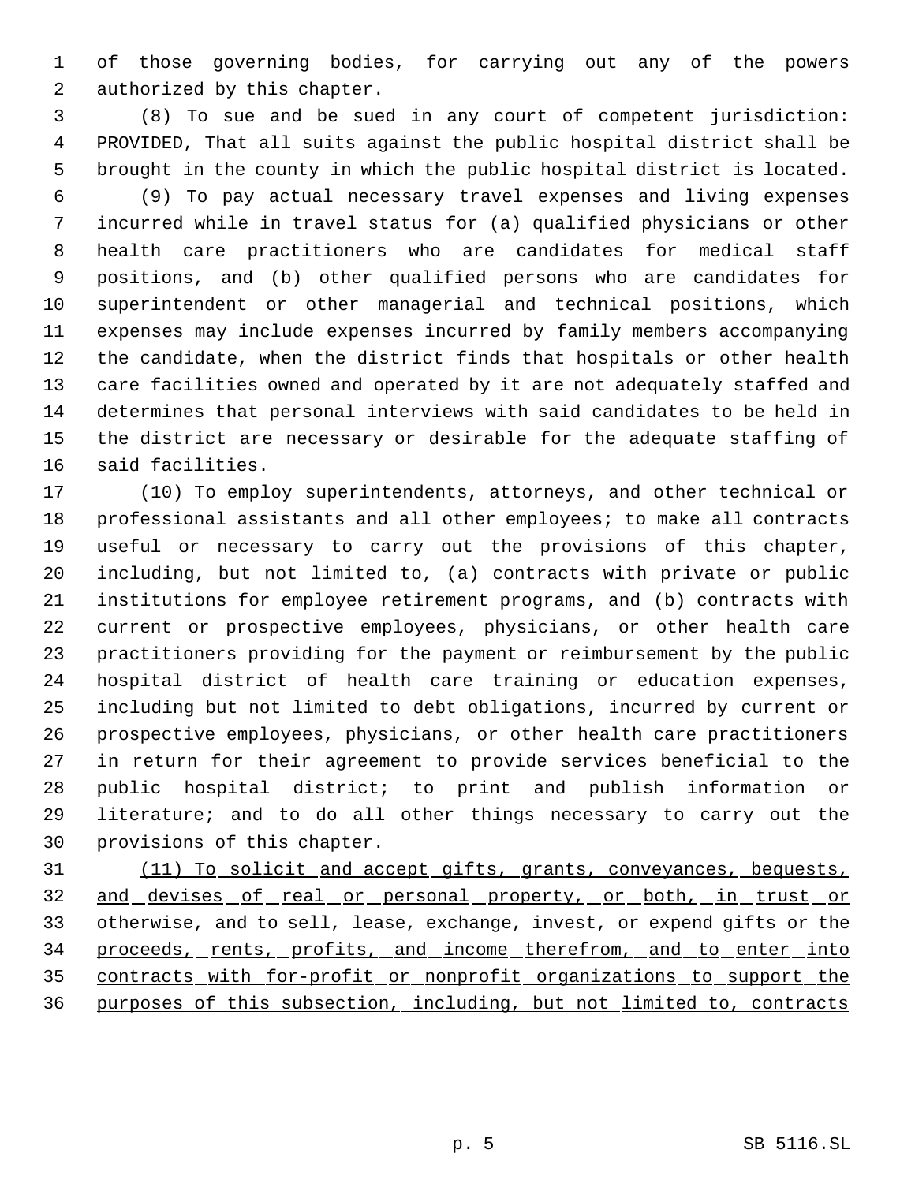of those governing bodies, for carrying out any of the powers authorized by this chapter.

 (8) To sue and be sued in any court of competent jurisdiction: PROVIDED, That all suits against the public hospital district shall be brought in the county in which the public hospital district is located.

 (9) To pay actual necessary travel expenses and living expenses incurred while in travel status for (a) qualified physicians or other health care practitioners who are candidates for medical staff positions, and (b) other qualified persons who are candidates for superintendent or other managerial and technical positions, which expenses may include expenses incurred by family members accompanying the candidate, when the district finds that hospitals or other health care facilities owned and operated by it are not adequately staffed and determines that personal interviews with said candidates to be held in the district are necessary or desirable for the adequate staffing of said facilities.

 (10) To employ superintendents, attorneys, and other technical or professional assistants and all other employees; to make all contracts useful or necessary to carry out the provisions of this chapter, including, but not limited to, (a) contracts with private or public institutions for employee retirement programs, and (b) contracts with current or prospective employees, physicians, or other health care practitioners providing for the payment or reimbursement by the public hospital district of health care training or education expenses, including but not limited to debt obligations, incurred by current or prospective employees, physicians, or other health care practitioners in return for their agreement to provide services beneficial to the public hospital district; to print and publish information or literature; and to do all other things necessary to carry out the provisions of this chapter.

 (11) To solicit and accept gifts, grants, conveyances, bequests, 32 and devises of real or personal property, or both, in trust or otherwise, and to sell, lease, exchange, invest, or expend gifts or the 34 proceeds, rents, profits, and income therefrom, and to enter into 35 contracts with for-profit or nonprofit organizations to support the purposes of this subsection, including, but not limited to, contracts